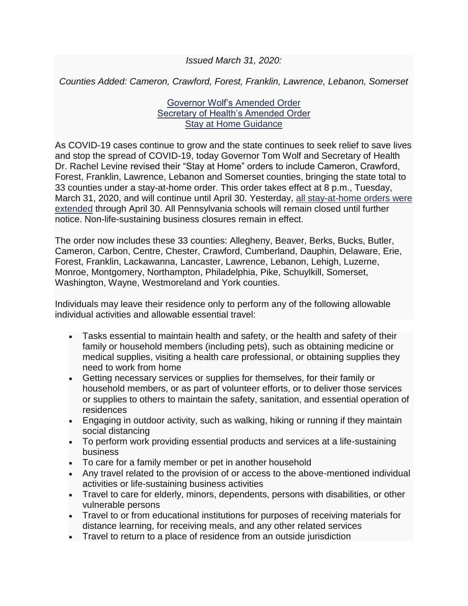## *Issued March 31, 2020:*

*Counties Added: Cameron, Crawford, Forest, Franklin, Lawrence, Lebanon, Somerset*

## [Governor Wolf's Amended Order](https://www.governor.pa.gov/wp-content/uploads/2020/03/20200331-GOV-Stay-at-Home-Order-Amendment.pdf) [Secretary of Health's Amended Order](https://www.governor.pa.gov/wp-content/uploads/2020/03/20200331-SOH-Stay-at-Home-Order-Amendment.pdf) [Stay at Home Guidance](https://www.governor.pa.gov/wp-content/uploads/2020/03/03.23.20-Stay-At-Home-Order-Guidance.pdf)

As COVID-19 cases continue to grow and the state continues to seek relief to save lives and stop the spread of COVID-19, today Governor Tom Wolf and Secretary of Health Dr. Rachel Levine revised their "Stay at Home" orders to include Cameron, Crawford, Forest, Franklin, Lawrence, Lebanon and Somerset counties, bringing the state total to 33 counties under a stay-at-home order. This order takes effect at 8 p.m., Tuesday, March 31, 2020, and will continue until April 30. Yesterday, [all stay-at-home orders were](https://www.governor.pa.gov/newsroom/gov-wolf-and-sec-of-health-expand-stay-at-home-order-to-carbon-cumberland-dauphin-and-schuylkill-counties-extend-school-closures-indefinitely/)  [extended](https://www.governor.pa.gov/newsroom/gov-wolf-and-sec-of-health-expand-stay-at-home-order-to-carbon-cumberland-dauphin-and-schuylkill-counties-extend-school-closures-indefinitely/) through April 30. All Pennsylvania schools will remain closed until further notice. Non-life-sustaining business closures remain in effect.

The order now includes these 33 counties: Allegheny, Beaver, Berks, Bucks, Butler, Cameron, Carbon, Centre, Chester, Crawford, Cumberland, Dauphin, Delaware, Erie, Forest, Franklin, Lackawanna, Lancaster, Lawrence, Lebanon, Lehigh, Luzerne, Monroe, Montgomery, Northampton, Philadelphia, Pike, Schuylkill, Somerset, Washington, Wayne, Westmoreland and York counties.

Individuals may leave their residence only to perform any of the following allowable individual activities and allowable essential travel:

- Tasks essential to maintain health and safety, or the health and safety of their family or household members (including pets), such as obtaining medicine or medical supplies, visiting a health care professional, or obtaining supplies they need to work from home
- Getting necessary services or supplies for themselves, for their family or household members, or as part of volunteer efforts, or to deliver those services or supplies to others to maintain the safety, sanitation, and essential operation of residences
- Engaging in outdoor activity, such as walking, hiking or running if they maintain social distancing
- To perform work providing essential products and services at a life-sustaining business
- To care for a family member or pet in another household
- Any travel related to the provision of or access to the above-mentioned individual activities or life-sustaining business activities
- Travel to care for elderly, minors, dependents, persons with disabilities, or other vulnerable persons
- Travel to or from educational institutions for purposes of receiving materials for distance learning, for receiving meals, and any other related services
- Travel to return to a place of residence from an outside jurisdiction